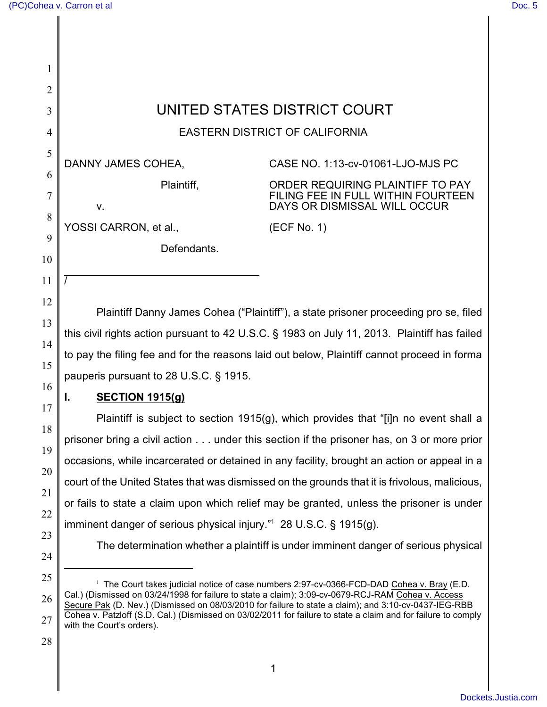| 1              |                                                                                                                                                                                             |                                                                                                                                                                                                             |  |  |  |  |  |
|----------------|---------------------------------------------------------------------------------------------------------------------------------------------------------------------------------------------|-------------------------------------------------------------------------------------------------------------------------------------------------------------------------------------------------------------|--|--|--|--|--|
| $\overline{2}$ |                                                                                                                                                                                             |                                                                                                                                                                                                             |  |  |  |  |  |
| 3              | UNITED STATES DISTRICT COURT                                                                                                                                                                |                                                                                                                                                                                                             |  |  |  |  |  |
| 4              | <b>EASTERN DISTRICT OF CALIFORNIA</b>                                                                                                                                                       |                                                                                                                                                                                                             |  |  |  |  |  |
| 5<br>6         | DANNY JAMES COHEA,                                                                                                                                                                          | CASE NO. 1:13-cv-01061-LJO-MJS PC                                                                                                                                                                           |  |  |  |  |  |
| 7              | Plaintiff,<br>٧.                                                                                                                                                                            | ORDER REQUIRING PLAINTIFF TO PAY<br>FILING FEE IN FULL WITHIN FOURTEEN<br>DAYS OR DISMISSAL WILL OCCUR                                                                                                      |  |  |  |  |  |
| 8              | YOSSI CARRON, et al.,                                                                                                                                                                       | (ECF No. 1)                                                                                                                                                                                                 |  |  |  |  |  |
| 9<br>10        | Defendants.                                                                                                                                                                                 |                                                                                                                                                                                                             |  |  |  |  |  |
| 11             |                                                                                                                                                                                             |                                                                                                                                                                                                             |  |  |  |  |  |
| 12<br>13       | Plaintiff Danny James Cohea ("Plaintiff"), a state prisoner proceeding pro se, filed                                                                                                        |                                                                                                                                                                                                             |  |  |  |  |  |
| 14             | this civil rights action pursuant to 42 U.S.C. § 1983 on July 11, 2013. Plaintiff has failed<br>to pay the filing fee and for the reasons laid out below, Plaintiff cannot proceed in forma |                                                                                                                                                                                                             |  |  |  |  |  |
| 15             |                                                                                                                                                                                             |                                                                                                                                                                                                             |  |  |  |  |  |
| 16             | pauperis pursuant to 28 U.S.C. § 1915.<br><b>SECTION 1915(g)</b><br>Plaintiff is subject to section 1915(g), which provides that "[i]n no event shall a                                     |                                                                                                                                                                                                             |  |  |  |  |  |
| 17             |                                                                                                                                                                                             |                                                                                                                                                                                                             |  |  |  |  |  |
|                |                                                                                                                                                                                             |                                                                                                                                                                                                             |  |  |  |  |  |
| 18<br>19       | prisoner bring a civil action under this section if the prisoner has, on 3 or more prior                                                                                                    |                                                                                                                                                                                                             |  |  |  |  |  |
| 20             | occasions, while incarcerated or detained in any facility, brought an action or appeal in a                                                                                                 |                                                                                                                                                                                                             |  |  |  |  |  |
| 21             | court of the United States that was dismissed on the grounds that it is frivolous, malicious,                                                                                               |                                                                                                                                                                                                             |  |  |  |  |  |
| 22             | or fails to state a claim upon which relief may be granted, unless the prisoner is under                                                                                                    |                                                                                                                                                                                                             |  |  |  |  |  |
|                | imminent danger of serious physical injury." $128$ U.S.C. § 1915(g).                                                                                                                        |                                                                                                                                                                                                             |  |  |  |  |  |
| 23<br>24       | The determination whether a plaintiff is under imminent danger of serious physical                                                                                                          |                                                                                                                                                                                                             |  |  |  |  |  |
| 25             |                                                                                                                                                                                             | <sup>1</sup> The Court takes judicial notice of case numbers 2:97-cv-0366-FCD-DAD Cohea v. Bray (E.D.                                                                                                       |  |  |  |  |  |
| 26             |                                                                                                                                                                                             | Cal.) (Dismissed on 03/24/1998 for failure to state a claim); 3:09-cv-0679-RCJ-RAM Cohea v. Access<br>Secure Pak (D. Nev.) (Dismissed on 08/03/2010 for failure to state a claim); and 3:10-cv-0437-IEG-RBB |  |  |  |  |  |
| 27             | Cohea v. Patzloff (S.D. Cal.) (Dismissed on 03/02/2011 for failure to state a claim and for failure to comply<br>with the Court's orders).                                                  |                                                                                                                                                                                                             |  |  |  |  |  |
| 28             |                                                                                                                                                                                             |                                                                                                                                                                                                             |  |  |  |  |  |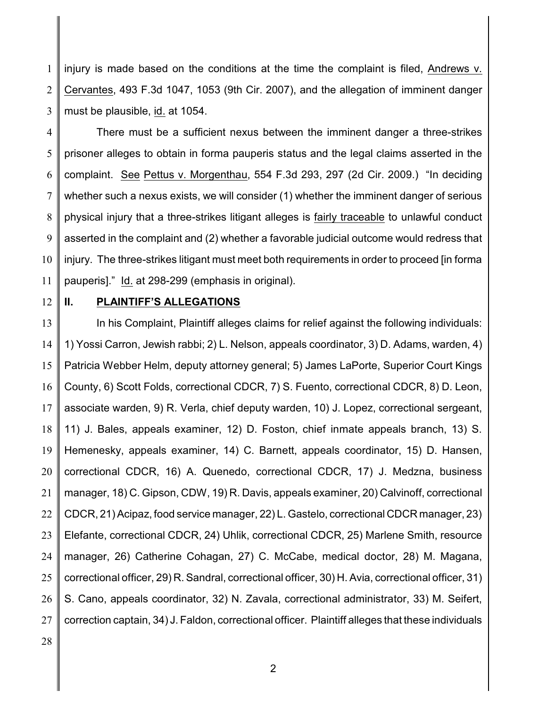1 2 3 injury is made based on the conditions at the time the complaint is filed, Andrews v. Cervantes, 493 F.3d 1047, 1053 (9th Cir. 2007), and the allegation of imminent danger must be plausible, id. at 1054.

4 5 6 7 8 9 10 11 There must be a sufficient nexus between the imminent danger a three-strikes prisoner alleges to obtain in forma pauperis status and the legal claims asserted in the complaint. See Pettus v. Morgenthau, 554 F.3d 293, 297 (2d Cir. 2009.) "In deciding whether such a nexus exists, we will consider (1) whether the imminent danger of serious physical injury that a three-strikes litigant alleges is fairly traceable to unlawful conduct asserted in the complaint and (2) whether a favorable judicial outcome would redress that injury. The three-strikes litigant must meet both requirements in order to proceed [in forma pauperis]." Id. at 298-299 (emphasis in original).

12

## **II. PLAINTIFF'S ALLEGATIONS**

13 14 15 16 17 18 19 20 21 22 23 24 25 26 27 In his Complaint, Plaintiff alleges claims for relief against the following individuals: 1) Yossi Carron, Jewish rabbi; 2) L. Nelson, appeals coordinator, 3) D. Adams, warden, 4) Patricia Webber Helm, deputy attorney general; 5) James LaPorte, Superior Court Kings County, 6) Scott Folds, correctional CDCR, 7) S. Fuento, correctional CDCR, 8) D. Leon, associate warden, 9) R. Verla, chief deputy warden, 10) J. Lopez, correctional sergeant, 11) J. Bales, appeals examiner, 12) D. Foston, chief inmate appeals branch, 13) S. Hemenesky, appeals examiner, 14) C. Barnett, appeals coordinator, 15) D. Hansen, correctional CDCR, 16) A. Quenedo, correctional CDCR, 17) J. Medzna, business manager, 18) C. Gipson, CDW, 19) R. Davis, appeals examiner, 20) Calvinoff, correctional CDCR, 21) Acipaz, food service manager, 22) L. Gastelo, correctional CDCR manager, 23) Elefante, correctional CDCR, 24) Uhlik, correctional CDCR, 25) Marlene Smith, resource manager, 26) Catherine Cohagan, 27) C. McCabe, medical doctor, 28) M. Magana, correctional officer, 29) R. Sandral, correctional officer, 30) H. Avia, correctional officer, 31) S. Cano, appeals coordinator, 32) N. Zavala, correctional administrator, 33) M. Seifert, correction captain, 34) J. Faldon, correctional officer. Plaintiff alleges that these individuals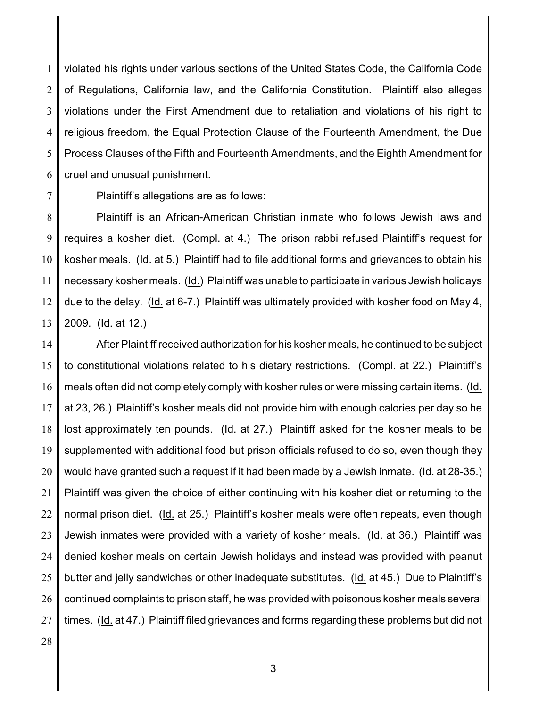1 2 3 4 5 6 violated his rights under various sections of the United States Code, the California Code of Regulations, California law, and the California Constitution. Plaintiff also alleges violations under the First Amendment due to retaliation and violations of his right to religious freedom, the Equal Protection Clause of the Fourteenth Amendment, the Due Process Clauses of the Fifth and Fourteenth Amendments, and the Eighth Amendment for cruel and unusual punishment.

7

Plaintiff's allegations are as follows:

8 9 10 11 12 13 Plaintiff is an African-American Christian inmate who follows Jewish laws and requires a kosher diet. (Compl. at 4.) The prison rabbi refused Plaintiff's request for kosher meals. (Id. at 5.) Plaintiff had to file additional forms and grievances to obtain his necessary kosher meals. (Id.) Plaintiff was unable to participate in various Jewish holidays due to the delay. (Id. at 6-7.) Plaintiff was ultimately provided with kosher food on May 4, 2009. (Id. at 12.)

14 15 16 17 18 19 20 21 22 23 24 25 26 27 After Plaintiff received authorization for his kosher meals, he continued to be subject to constitutional violations related to his dietary restrictions. (Compl. at 22.) Plaintiff's meals often did not completely comply with kosher rules or were missing certain items. (Id. at 23, 26.) Plaintiff's kosher meals did not provide him with enough calories per day so he lost approximately ten pounds. (Id. at 27.) Plaintiff asked for the kosher meals to be supplemented with additional food but prison officials refused to do so, even though they would have granted such a request if it had been made by a Jewish inmate. (Id. at 28-35.) Plaintiff was given the choice of either continuing with his kosher diet or returning to the normal prison diet. (Id. at 25.) Plaintiff's kosher meals were often repeats, even though Jewish inmates were provided with a variety of kosher meals. (Id. at 36.) Plaintiff was denied kosher meals on certain Jewish holidays and instead was provided with peanut butter and jelly sandwiches or other inadequate substitutes. (Id. at 45.) Due to Plaintiff's continued complaints to prison staff, he was provided with poisonous kosher meals several times. (Id. at 47.) Plaintiff filed grievances and forms regarding these problems but did not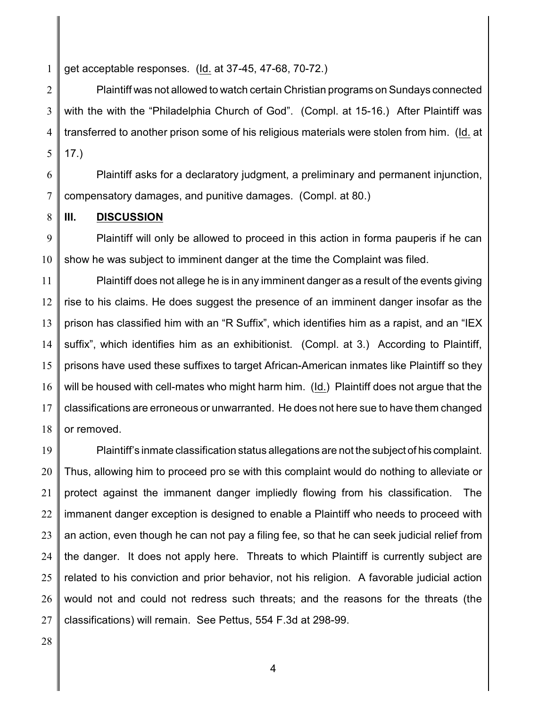1 get acceptable responses. (Id. at 37-45, 47-68, 70-72.)

2 3 4 5 Plaintiff was not allowed to watch certain Christian programs on Sundays connected with the with the "Philadelphia Church of God". (Compl. at 15-16.) After Plaintiff was transferred to another prison some of his religious materials were stolen from him. (Id. at 17.)

6 7 Plaintiff asks for a declaratory judgment, a preliminary and permanent injunction, compensatory damages, and punitive damages. (Compl. at 80.)

8 **III. DISCUSSION**

9 10 Plaintiff will only be allowed to proceed in this action in forma pauperis if he can show he was subject to imminent danger at the time the Complaint was filed.

11 12 13 14 15 16 17 18 Plaintiff does not allege he is in any imminent danger as a result of the events giving rise to his claims. He does suggest the presence of an imminent danger insofar as the prison has classified him with an "R Suffix", which identifies him as a rapist, and an "IEX suffix", which identifies him as an exhibitionist. (Compl. at 3.) According to Plaintiff, prisons have used these suffixes to target African-American inmates like Plaintiff so they will be housed with cell-mates who might harm him. (Id.) Plaintiff does not argue that the classifications are erroneous or unwarranted. He does not here sue to have them changed or removed.

19 20 21 22 23 24 25 26 27 Plaintiff's inmate classification status allegations are not the subject of his complaint. Thus, allowing him to proceed pro se with this complaint would do nothing to alleviate or protect against the immanent danger impliedly flowing from his classification. The immanent danger exception is designed to enable a Plaintiff who needs to proceed with an action, even though he can not pay a filing fee, so that he can seek judicial relief from the danger. It does not apply here. Threats to which Plaintiff is currently subject are related to his conviction and prior behavior, not his religion. A favorable judicial action would not and could not redress such threats; and the reasons for the threats (the classifications) will remain. See Pettus, 554 F.3d at 298-99.

28